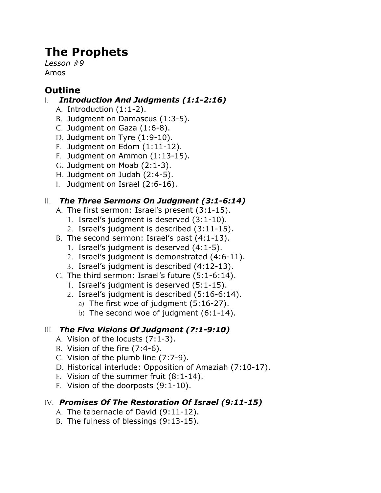# **The Prophets**

*Lesson #9* Amos

# **Outline**

### I. *Introduction And Judgments (1:1-2:16)*

- A. Introduction (1:1-2).
- B. Judgment on Damascus (1:3-5).
- C. Judgment on Gaza (1:6-8).
- D. Judgment on Tyre (1:9-10).
- E. Judgment on Edom (1:11-12).
- F. Judgment on Ammon (1:13-15).
- G. Judgment on Moab (2:1-3).
- H. Judgment on Judah (2:4-5).
- I. Judgment on Israel (2:6-16).

# II. *The Three Sermons On Judgment (3:1-6:14)*

- A. The first sermon: Israel's present (3:1-15).
	- 1. Israel's judgment is deserved (3:1-10).
	- 2. Israel's judgment is described (3:11-15).
- B. The second sermon: Israel's past (4:1-13).
	- 1. Israel's judgment is deserved (4:1-5).
	- 2. Israel's judgment is demonstrated (4:6-11).
	- 3. Israel's judgment is described (4:12-13).
- C. The third sermon: Israel's future (5:1-6:14).
	- 1. Israel's judgment is deserved (5:1-15).
	- 2. Israel's judgment is described (5:16-6:14).
		- a) The first woe of judgment (5:16-27).
		- b) The second woe of judgment (6:1-14).

# III. *The Five Visions Of Judgment (7:1-9:10)*

- A. Vision of the locusts (7:1-3).
- B. Vision of the fire (7:4-6).
- C. Vision of the plumb line (7:7-9).
- D. Historical interlude: Opposition of Amaziah (7:10-17).
- E. Vision of the summer fruit (8:1-14).
- F. Vision of the doorposts (9:1-10).

### IV. *Promises Of The Restoration Of Israel (9:11-15)*

- A. The tabernacle of David (9:11-12).
- B. The fulness of blessings (9:13-15).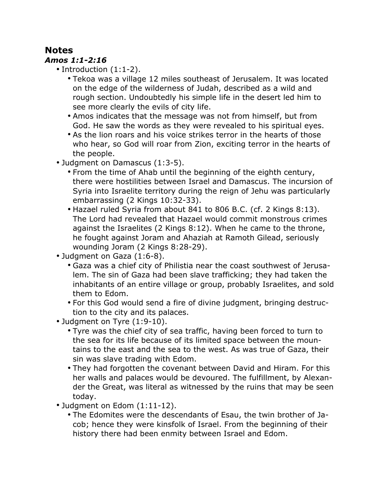# **Notes**

#### *Amos 1:1-2:16*

- Introduction (1:1-2).
	- Tekoa was a village 12 miles southeast of Jerusalem. It was located on the edge of the wilderness of Judah, described as a wild and rough section. Undoubtedly his simple life in the desert led him to see more clearly the evils of city life.
	- Amos indicates that the message was not from himself, but from God. He saw the words as they were revealed to his spiritual eyes.
	- As the lion roars and his voice strikes terror in the hearts of those who hear, so God will roar from Zion, exciting terror in the hearts of the people.
- Judgment on Damascus (1:3-5).
	- From the time of Ahab until the beginning of the eighth century, there were hostilities between Israel and Damascus. The incursion of Syria into Israelite territory during the reign of Jehu was particularly embarrassing (2 Kings 10:32-33).
	- Hazael ruled Syria from about 841 to 806 B.C. (cf. 2 Kings 8:13). The Lord had revealed that Hazael would commit monstrous crimes against the Israelites (2 Kings 8:12). When he came to the throne, he fought against Joram and Ahaziah at Ramoth Gilead, seriously wounding Joram (2 Kings 8:28-29).
- Judgment on Gaza (1:6-8).
	- Gaza was a chief city of Philistia near the coast southwest of Jerusalem. The sin of Gaza had been slave trafficking; they had taken the inhabitants of an entire village or group, probably Israelites, and sold them to Edom.
	- For this God would send a fire of divine judgment, bringing destruction to the city and its palaces.
- Judgment on Tyre (1:9-10).
	- Tyre was the chief city of sea traffic, having been forced to turn to the sea for its life because of its limited space between the mountains to the east and the sea to the west. As was true of Gaza, their sin was slave trading with Edom.
	- They had forgotten the covenant between David and Hiram. For this her walls and palaces would be devoured. The fulfillment, by Alexander the Great, was literal as witnessed by the ruins that may be seen today.
- Judgment on Edom (1:11-12).
	- The Edomites were the descendants of Esau, the twin brother of Jacob; hence they were kinsfolk of Israel. From the beginning of their history there had been enmity between Israel and Edom.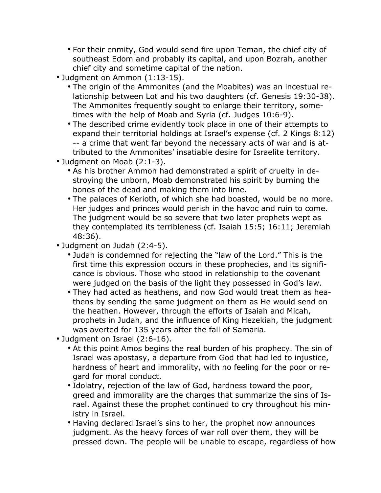- For their enmity, God would send fire upon Teman, the chief city of southeast Edom and probably its capital, and upon Bozrah, another chief city and sometime capital of the nation.
- Judgment on Ammon (1:13-15).
	- The origin of the Ammonites (and the Moabites) was an incestual relationship between Lot and his two daughters (cf. Genesis 19:30-38). The Ammonites frequently sought to enlarge their territory, sometimes with the help of Moab and Syria (cf. Judges 10:6-9).
	- The described crime evidently took place in one of their attempts to expand their territorial holdings at Israel's expense (cf. 2 Kings 8:12) -- a crime that went far beyond the necessary acts of war and is attributed to the Ammonites' insatiable desire for Israelite territory.
- Judgment on Moab (2:1-3).
	- As his brother Ammon had demonstrated a spirit of cruelty in destroying the unborn, Moab demonstrated his spirit by burning the bones of the dead and making them into lime.
	- The palaces of Kerioth, of which she had boasted, would be no more. Her judges and princes would perish in the havoc and ruin to come. The judgment would be so severe that two later prophets wept as they contemplated its terribleness (cf. Isaiah 15:5; 16:11; Jeremiah 48:36).
- Judgment on Judah (2:4-5).
	- Judah is condemned for rejecting the "law of the Lord." This is the first time this expression occurs in these prophecies, and its significance is obvious. Those who stood in relationship to the covenant were judged on the basis of the light they possessed in God's law.
	- They had acted as heathens, and now God would treat them as heathens by sending the same judgment on them as He would send on the heathen. However, through the efforts of Isaiah and Micah, prophets in Judah, and the influence of King Hezekiah, the judgment was averted for 135 years after the fall of Samaria.
- Judgment on Israel (2:6-16).
	- At this point Amos begins the real burden of his prophecy. The sin of Israel was apostasy, a departure from God that had led to injustice, hardness of heart and immorality, with no feeling for the poor or regard for moral conduct.
	- Idolatry, rejection of the law of God, hardness toward the poor, greed and immorality are the charges that summarize the sins of Israel. Against these the prophet continued to cry throughout his ministry in Israel.
	- Having declared Israel's sins to her, the prophet now announces judgment. As the heavy forces of war roll over them, they will be pressed down. The people will be unable to escape, regardless of how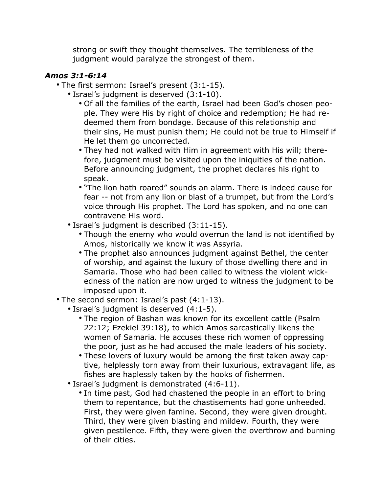strong or swift they thought themselves. The terribleness of the judgment would paralyze the strongest of them.

### *Amos 3:1-6:14*

- The first sermon: Israel's present (3:1-15).
	- Israel's judgment is deserved (3:1-10).
		- Of all the families of the earth, Israel had been God's chosen people. They were His by right of choice and redemption; He had redeemed them from bondage. Because of this relationship and their sins, He must punish them; He could not be true to Himself if He let them go uncorrected.
		- They had not walked with Him in agreement with His will; therefore, judgment must be visited upon the iniquities of the nation. Before announcing judgment, the prophet declares his right to speak.
		- "The lion hath roared" sounds an alarm. There is indeed cause for fear -- not from any lion or blast of a trumpet, but from the Lord's voice through His prophet. The Lord has spoken, and no one can contravene His word.
	- Israel's judgment is described (3:11-15).
		- Though the enemy who would overrun the land is not identified by Amos, historically we know it was Assyria.
		- The prophet also announces judgment against Bethel, the center of worship, and against the luxury of those dwelling there and in Samaria. Those who had been called to witness the violent wickedness of the nation are now urged to witness the judgment to be imposed upon it.
- The second sermon: Israel's past (4:1-13).
	- Israel's judgment is deserved (4:1-5).
		- The region of Bashan was known for its excellent cattle (Psalm 22:12; Ezekiel 39:18), to which Amos sarcastically likens the women of Samaria. He accuses these rich women of oppressing the poor, just as he had accused the male leaders of his society.
		- These lovers of luxury would be among the first taken away captive, helplessly torn away from their luxurious, extravagant life, as fishes are haplessly taken by the hooks of fishermen.
	- Israel's judgment is demonstrated (4:6-11).
		- In time past, God had chastened the people in an effort to bring them to repentance, but the chastisements had gone unheeded. First, they were given famine. Second, they were given drought. Third, they were given blasting and mildew. Fourth, they were given pestilence. Fifth, they were given the overthrow and burning of their cities.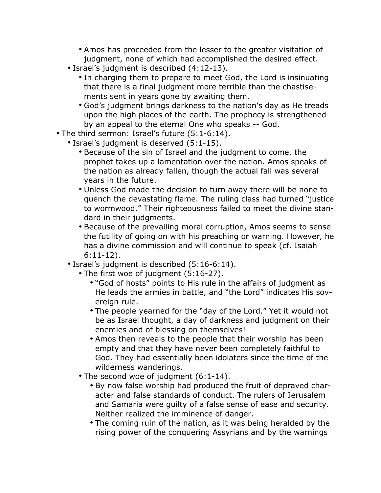- Amos has proceeded from the lesser to the greater visitation of judgment, none of which had accomplished the desired effect.
- Israel's judgment is described (4:12-13).
	- In charging them to prepare to meet God, the Lord is insinuating that there is a final judgment more terrible than the chastisements sent in years gone by awaiting them.
	- God's judgment brings darkness to the nation's day as He treads upon the high places of the earth. The prophecy is strengthened by an appeal to the eternal One who speaks -- God.
- The third sermon: Israel's future (5:1-6:14).
	- Israel's judgment is deserved (5:1-15).
		- Because of the sin of Israel and the judgment to come, the prophet takes up a lamentation over the nation. Amos speaks of the nation as already fallen, though the actual fall was several years in the future.
		- Unless God made the decision to turn away there will be none to quench the devastating flame. The ruling class had turned "justice to wormwood." Their righteousness failed to meet the divine standard in their judgments.
		- Because of the prevailing moral corruption, Amos seems to sense the futility of going on with his preaching or warning. However, he has a divine commission and will continue to speak (cf. Isaiah 6:11-12).
	- Israel's judgment is described (5:16-6:14).
		- The first woe of judgment (5:16-27).
			- "God of hosts" points to His rule in the affairs of judgment as He leads the armies in battle, and "the Lord" indicates His sovereign rule.
			- The people yearned for the "day of the Lord." Yet it would not be as Israel thought, a day of darkness and judgment on their enemies and of blessing on themselves!
			- Amos then reveals to the people that their worship has been empty and that they have never been completely faithful to God. They had essentially been idolaters since the time of the wilderness wanderings.
		- The second woe of judgment (6:1-14).
			- By now false worship had produced the fruit of depraved character and false standards of conduct. The rulers of Jerusalem and Samaria were guilty of a false sense of ease and security. Neither realized the imminence of danger.
			- The coming ruin of the nation, as it was being heralded by the rising power of the conquering Assyrians and by the warnings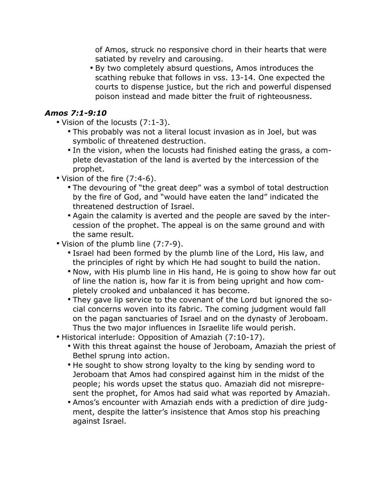of Amos, struck no responsive chord in their hearts that were satiated by revelry and carousing.

• By two completely absurd questions, Amos introduces the scathing rebuke that follows in vss. 13-14. One expected the courts to dispense justice, but the rich and powerful dispensed poison instead and made bitter the fruit of righteousness.

### *Amos 7:1-9:10*

- Vision of the locusts (7:1-3).
	- This probably was not a literal locust invasion as in Joel, but was symbolic of threatened destruction.
	- In the vision, when the locusts had finished eating the grass, a complete devastation of the land is averted by the intercession of the prophet.
- Vision of the fire (7:4-6).
	- The devouring of "the great deep" was a symbol of total destruction by the fire of God, and "would have eaten the land" indicated the threatened destruction of Israel.
	- Again the calamity is averted and the people are saved by the intercession of the prophet. The appeal is on the same ground and with the same result.
- Vision of the plumb line (7:7-9).
	- Israel had been formed by the plumb line of the Lord, His law, and the principles of right by which He had sought to build the nation.
	- Now, with His plumb line in His hand, He is going to show how far out of line the nation is, how far it is from being upright and how completely crooked and unbalanced it has become.
	- They gave lip service to the covenant of the Lord but ignored the social concerns woven into its fabric. The coming judgment would fall on the pagan sanctuaries of Israel and on the dynasty of Jeroboam. Thus the two major influences in Israelite life would perish.
- Historical interlude: Opposition of Amaziah (7:10-17).
	- With this threat against the house of Jeroboam, Amaziah the priest of Bethel sprung into action.
	- He sought to show strong loyalty to the king by sending word to Jeroboam that Amos had conspired against him in the midst of the people; his words upset the status quo. Amaziah did not misrepresent the prophet, for Amos had said what was reported by Amaziah.
	- Amos's encounter with Amaziah ends with a prediction of dire judgment, despite the latter's insistence that Amos stop his preaching against Israel.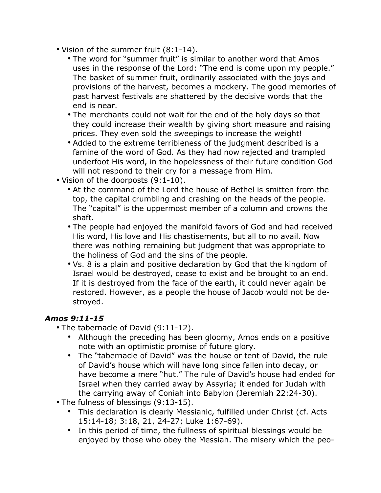- Vision of the summer fruit (8:1-14).
	- The word for "summer fruit" is similar to another word that Amos uses in the response of the Lord: "The end is come upon my people." The basket of summer fruit, ordinarily associated with the joys and provisions of the harvest, becomes a mockery. The good memories of past harvest festivals are shattered by the decisive words that the end is near.
	- The merchants could not wait for the end of the holy days so that they could increase their wealth by giving short measure and raising prices. They even sold the sweepings to increase the weight!
	- Added to the extreme terribleness of the judgment described is a famine of the word of God. As they had now rejected and trampled underfoot His word, in the hopelessness of their future condition God will not respond to their cry for a message from Him.
- Vision of the doorposts (9:1-10).
	- At the command of the Lord the house of Bethel is smitten from the top, the capital crumbling and crashing on the heads of the people. The "capital" is the uppermost member of a column and crowns the shaft.
	- The people had enjoyed the manifold favors of God and had received His word, His love and His chastisements, but all to no avail. Now there was nothing remaining but judgment that was appropriate to the holiness of God and the sins of the people.
	- Vs. 8 is a plain and positive declaration by God that the kingdom of Israel would be destroyed, cease to exist and be brought to an end. If it is destroyed from the face of the earth, it could never again be restored. However, as a people the house of Jacob would not be destroyed.

#### *Amos 9:11-15*

- The tabernacle of David (9:11-12).
	- Although the preceding has been gloomy, Amos ends on a positive note with an optimistic promise of future glory.
	- The "tabernacle of David" was the house or tent of David, the rule of David's house which will have long since fallen into decay, or have become a mere "hut." The rule of David's house had ended for Israel when they carried away by Assyria; it ended for Judah with the carrying away of Coniah into Babylon (Jeremiah 22:24-30).
- The fulness of blessings (9:13-15).
	- This declaration is clearly Messianic, fulfilled under Christ (cf. Acts 15:14-18; 3:18, 21, 24-27; Luke 1:67-69).
	- In this period of time, the fullness of spiritual blessings would be enjoyed by those who obey the Messiah. The misery which the peo-